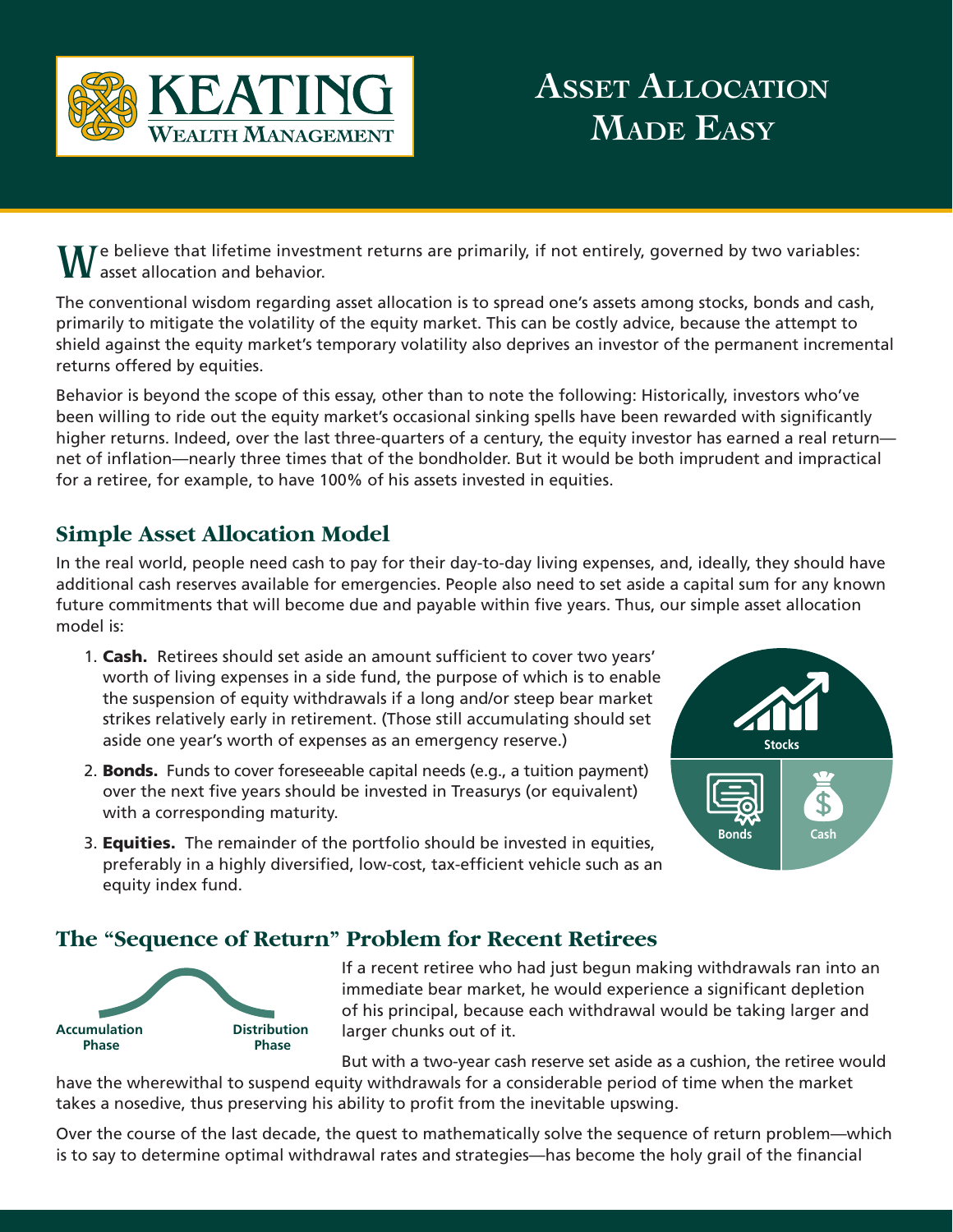

# **Asset Allocation Made Easy**

 $\mathbf{V}$  Te believe that lifetime investment returns are primarily, if not entirely, governed by two variables: asset allocation and behavior.

The conventional wisdom regarding asset allocation is to spread one's assets among stocks, bonds and cash, primarily to mitigate the volatility of the equity market. This can be costly advice, because the attempt to shield against the equity market's temporary volatility also deprives an investor of the permanent incremental returns offered by equities.

Behavior is beyond the scope of this essay, other than to note the following: Historically, investors who've been willing to ride out the equity market's occasional sinking spells have been rewarded with significantly higher returns. Indeed, over the last three-quarters of a century, the equity investor has earned a real return net of inflation—nearly three times that of the bondholder. But it would be both imprudent and impractical for a retiree, for example, to have 100% of his assets invested in equities.

## **Simple Asset Allocation Model**

In the real world, people need cash to pay for their day-to-day living expenses, and, ideally, they should have additional cash reserves available for emergencies. People also need to set aside a capital sum for any known future commitments that will become due and payable within five years. Thus, our simple asset allocation model is:

- 1. **Cash.** Retirees should set aside an amount sufficient to cover two years' worth of living expenses in a side fund, the purpose of which is to enable the suspension of equity withdrawals if a long and/or steep bear market strikes relatively early in retirement. (Those still accumulating should set aside one year's worth of expenses as an emergency reserve.)
- 2. **Bonds.** Funds to cover foreseeable capital needs (e.g., a tuition payment) over the next five years should be invested in Treasurys (or equivalent) with a corresponding maturity.
- **Stocks Bonds Cash**
- 3. **Equities.** The remainder of the portfolio should be invested in equities, preferably in a highly diversified, low-cost, tax-efficient vehicle such as an equity index fund.

## **The "Sequence of Return" Problem for Recent Retirees**



If a recent retiree who had just begun making withdrawals ran into an immediate bear market, he would experience a significant depletion of his principal, because each withdrawal would be taking larger and larger chunks out of it.

But with a two-year cash reserve set aside as a cushion, the retiree would have the wherewithal to suspend equity withdrawals for a considerable period of time when the market takes a nosedive, thus preserving his ability to profit from the inevitable upswing.

Over the course of the last decade, the quest to mathematically solve the sequence of return problem—which is to say to determine optimal withdrawal rates and strategies—has become the holy grail of the financial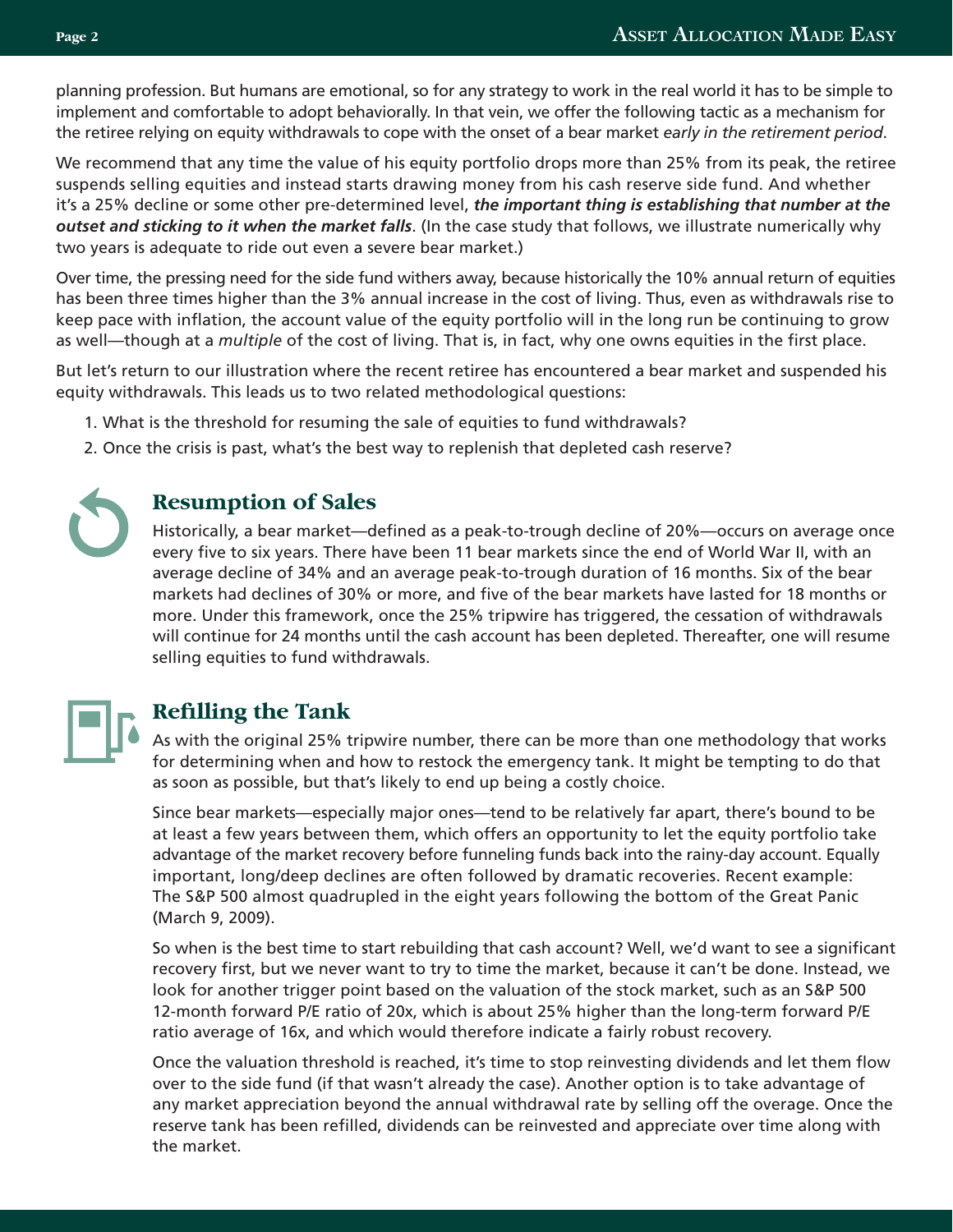planning profession. But humans are emotional, so for any strategy to work in the real world it has to be simple to implement and comfortable to adopt behaviorally. In that vein, we offer the following tactic as a mechanism for the retiree relying on equity withdrawals to cope with the onset of a bear market *early in the retirement period*.

We recommend that any time the value of his equity portfolio drops more than 25% from its peak, the retiree suspends selling equities and instead starts drawing money from his cash reserve side fund. And whether it's a 25% decline or some other pre-determined level, *the important thing is establishing that number at the outset and sticking to it when the market falls*. (In the case study that follows, we illustrate numerically why two years is adequate to ride out even a severe bear market.)

Over time, the pressing need for the side fund withers away, because historically the 10% annual return of equities has been three times higher than the 3% annual increase in the cost of living. Thus, even as withdrawals rise to keep pace with inflation, the account value of the equity portfolio will in the long run be continuing to grow as well—though at a *multiple* of the cost of living. That is, in fact, why one owns equities in the first place.

But let's return to our illustration where the recent retiree has encountered a bear market and suspended his equity withdrawals. This leads us to two related methodological questions:

- 1. What is the threshold for resuming the sale of equities to fund withdrawals?
- 2. Once the crisis is past, what's the best way to replenish that depleted cash reserve?



#### **Resumption of Sales**

Historically, a bear market—defined as a peak-to-trough decline of 20%—occurs on average once every five to six years. There have been 11 bear markets since the end of World War II, with an average decline of 34% and an average peak-to-trough duration of 16 months. Six of the bear markets had declines of 30% or more, and five of the bear markets have lasted for 18 months or more. Under this framework, once the 25% tripwire has triggered, the cessation of withdrawals will continue for 24 months until the cash account has been depleted. Thereafter, one will resume selling equities to fund withdrawals.



## **Refilling the Tank**

As with the original 25% tripwire number, there can be more than one methodology that works for determining when and how to restock the emergency tank. It might be tempting to do that as soon as possible, but that's likely to end up being a costly choice.

Since bear markets—especially major ones—tend to be relatively far apart, there's bound to be at least a few years between them, which offers an opportunity to let the equity portfolio take advantage of the market recovery before funneling funds back into the rainy-day account. Equally important, long/deep declines are often followed by dramatic recoveries. Recent example: The S&P 500 almost quadrupled in the eight years following the bottom of the Great Panic (March 9, 2009).

So when is the best time to start rebuilding that cash account? Well, we'd want to see a significant recovery first, but we never want to try to time the market, because it can't be done. Instead, we look for another trigger point based on the valuation of the stock market, such as an S&P 500 12-month forward P/E ratio of 20x, which is about 25% higher than the long-term forward P/E ratio average of 16x, and which would therefore indicate a fairly robust recovery.

Once the valuation threshold is reached, it's time to stop reinvesting dividends and let them flow over to the side fund (if that wasn't already the case). Another option is to take advantage of any market appreciation beyond the annual withdrawal rate by selling off the overage. Once the reserve tank has been refilled, dividends can be reinvested and appreciate over time along with the market.